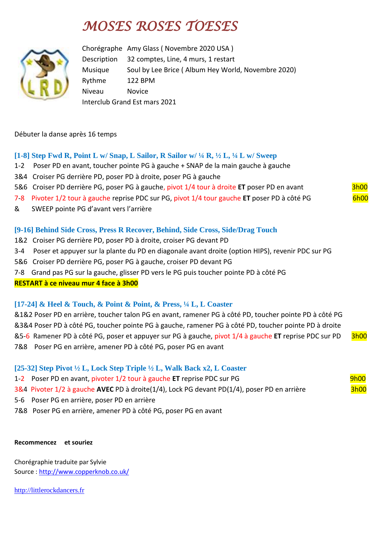# *MOSES ROSES TOESES*



Chorégraphe Amy Glass ( Novembre 2020 USA ) Description 32 comptes, Line, 4 murs, 1 restart Musique Soul by Lee Brice ( Album Hey World, Novembre 2020) Rythme 122 BPM Niveau Novice Interclub Grand Est mars 2021

## Débuter la danse après 16 temps

# **[1-8] Step Fwd R, Point L w/ Snap, L Sailor, R Sailor w/ ¼ R, ½ L, ¼ L w/ Sweep**

- 1-2 Poser PD en avant, toucher pointe PG à gauche + SNAP de la main gauche à gauche
- 3&4 Croiser PG derrière PD, poser PD à droite, poser PG à gauche
- 5&6 Croiser PD derrière PG, poser PG à gauche, pivot 1/4 tour à droite ET poser PD en avant 3h00
- 7-8 Pivoter 1/2 tour à gauche reprise PDC sur PG, pivot 1/4 tour gauche **ET** poser PD à côté PG 6h00
- & SWEEP pointe PG d'avant vers l'arrière

## **[9-16] Behind Side Cross, Press R Recover, Behind, Side Cross, Side/Drag Touch**

- 1&2 Croiser PG derrière PD, poser PD à droite, croiser PG devant PD
- 3-4 Poser et appuyer sur la plante du PD en diagonale avant droite (option HIPS), revenir PDC sur PG
- 5&6 Croiser PD derrière PG, poser PG à gauche, croiser PD devant PG
- 7-8 Grand pas PG sur la gauche, glisser PD vers le PG puis toucher pointe PD à côté PG

## **RESTART à ce niveau mur 4 face à 3h00**

## **[17-24] & Heel & Touch, & Point & Point, & Press, ¼ L, L Coaster**

&1&2 Poser PD en arrière, toucher talon PG en avant, ramener PG à côté PD, toucher pointe PD à côté PG &3&4 Poser PD à côté PG, toucher pointe PG à gauche, ramener PG à côté PD, toucher pointe PD à droite &5-6 Ramener PD à côté PG, poser et appuyer sur PG à gauche, pivot 1/4 à gauche **ET** reprise PDC sur PD 3h00 7&8 Poser PG en arrière, amener PD à côté PG, poser PG en avant

## **[25-32] Step Pivot ½ L, Lock Step Triple ½ L, Walk Back x2, L Coaster**

- 1-2 Poser PD en avant, pivoter 1/2 tour à gauche **ET** reprise PDC sur PG 9h00
- 3&4 Pivoter 1/2 à gauche **AVEC** PD à droite(1/4), Lock PG devant PD(1/4), poser PD en arrière 3h00
- 5-6 Poser PG en arrière, poser PD en arrière
- 7&8 Poser PG en arrière, amener PD à côté PG, poser PG en avant

#### **Recommencez et souriez**

Chorégraphie traduite par Sylvie Source : [http://www.copperknob.co.uk/](https://www.copperknob.co.uk/) 

[http://littlerockdancers.fr](http://littlerockdancers.fr/)